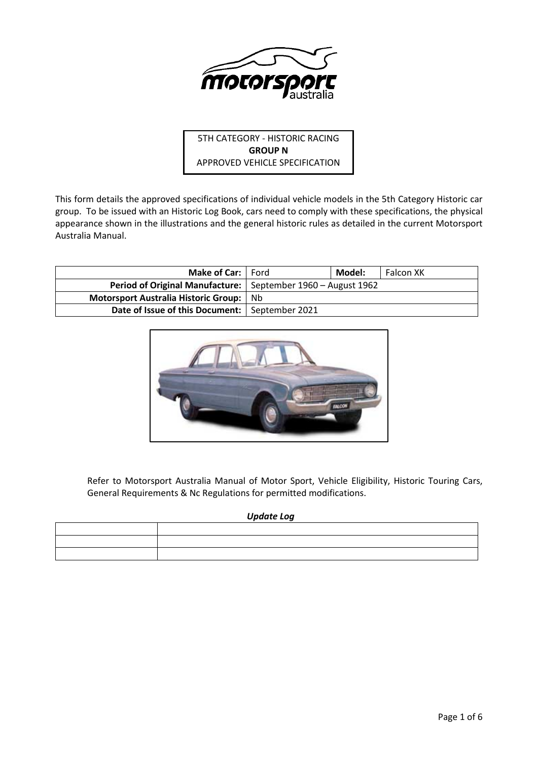

5TH CATEGORY - HISTORIC RACING **GROUP N** APPROVED VEHICLE SPECIFICATION

This form details the approved specifications of individual vehicle models in the 5th Category Historic car group. To be issued with an Historic Log Book, cars need to comply with these specifications, the physical appearance shown in the illustrations and the general historic rules as detailed in the current Motorsport Australia Manual.

| Make of Car:   Ford                              |                                                                | Model: | Falcon XK |
|--------------------------------------------------|----------------------------------------------------------------|--------|-----------|
|                                                  | Period of Original Manufacture:   September 1960 - August 1962 |        |           |
| Motorsport Australia Historic Group:             | Nb.                                                            |        |           |
| Date of Issue of this Document:   September 2021 |                                                                |        |           |



Refer to Motorsport Australia Manual of Motor Sport, Vehicle Eligibility, Historic Touring Cars, General Requirements & Nc Regulations for permitted modifications.

# *Update Log*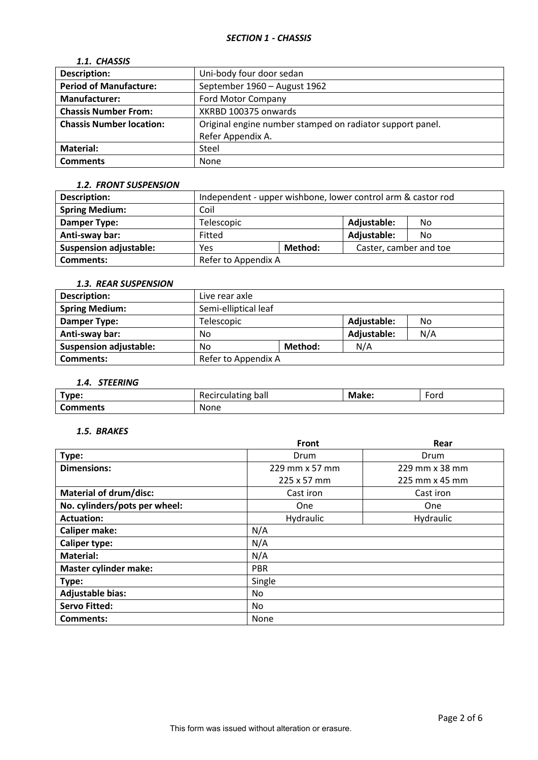# *1.1. CHASSIS*

| <b>Description:</b>             | Uni-body four door sedan                                  |  |
|---------------------------------|-----------------------------------------------------------|--|
| <b>Period of Manufacture:</b>   | September 1960 - August 1962                              |  |
| <b>Manufacturer:</b>            | <b>Ford Motor Company</b>                                 |  |
| <b>Chassis Number From:</b>     | XKRBD 100375 onwards                                      |  |
| <b>Chassis Number location:</b> | Original engine number stamped on radiator support panel. |  |
|                                 | Refer Appendix A.                                         |  |
| <b>Material:</b>                | Steel                                                     |  |
| <b>Comments</b>                 | None                                                      |  |

## *1.2. FRONT SUSPENSION*

| <b>Description:</b>           | Independent - upper wishbone, lower control arm & castor rod |  |                        |     |
|-------------------------------|--------------------------------------------------------------|--|------------------------|-----|
| <b>Spring Medium:</b>         | Coil                                                         |  |                        |     |
| Damper Type:                  | Telescopic                                                   |  | Adjustable:            | No. |
| Anti-sway bar:                | Fitted                                                       |  | Adjustable:            | No. |
| <b>Suspension adjustable:</b> | Method:<br>Yes                                               |  | Caster, camber and toe |     |
| <b>Comments:</b>              | Refer to Appendix A                                          |  |                        |     |

## *1.3. REAR SUSPENSION*

| Description:                  | Live rear axle                  |  |             |     |
|-------------------------------|---------------------------------|--|-------------|-----|
| <b>Spring Medium:</b>         | Semi-elliptical leaf            |  |             |     |
| Damper Type:                  | Adjustable:<br>Telescopic<br>No |  |             |     |
| Anti-sway bar:                | No                              |  | Adjustable: | N/A |
| <b>Suspension adjustable:</b> | Method:<br>No                   |  | N/A         |     |
| <b>Comments:</b>              | Refer to Appendix A             |  |             |     |

# *1.4. STEERING*

| Type:           | <b>Recirculating</b><br>∵balı | Make: | Ford |
|-----------------|-------------------------------|-------|------|
| <b>Comments</b> | None                          |       |      |

### *1.5. BRAKES*

|                               | <b>Front</b>   | Rear           |
|-------------------------------|----------------|----------------|
| Type:                         | Drum           | Drum           |
| <b>Dimensions:</b>            | 229 mm x 57 mm | 229 mm x 38 mm |
|                               | 225 x 57 mm    | 225 mm x 45 mm |
| <b>Material of drum/disc:</b> | Cast iron      | Cast iron      |
| No. cylinders/pots per wheel: | One            | <b>One</b>     |
| <b>Actuation:</b>             | Hydraulic      | Hydraulic      |
| <b>Caliper make:</b>          | N/A            |                |
| <b>Caliper type:</b>          | N/A            |                |
| <b>Material:</b>              | N/A            |                |
| <b>Master cylinder make:</b>  | <b>PBR</b>     |                |
| Type:                         | Single         |                |
| <b>Adjustable bias:</b>       | No             |                |
| <b>Servo Fitted:</b>          | No             |                |
| Comments:                     | None           |                |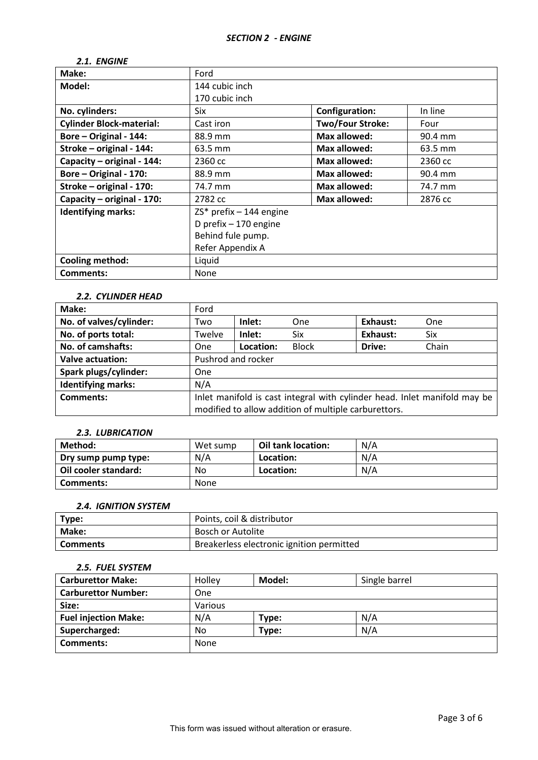# *2.1. ENGINE*

| Make:                           | Ford                                      |                         |         |  |
|---------------------------------|-------------------------------------------|-------------------------|---------|--|
| Model:                          | 144 cubic inch                            |                         |         |  |
|                                 | 170 cubic inch                            |                         |         |  |
| No. cylinders:                  | Six                                       | <b>Configuration:</b>   | In line |  |
| <b>Cylinder Block-material:</b> | Cast iron                                 | <b>Two/Four Stroke:</b> | Four    |  |
| Bore - Original - 144:          | 88.9 mm                                   | <b>Max allowed:</b>     | 90.4 mm |  |
| Stroke - original - 144:        | 63.5 mm                                   | Max allowed:            | 63.5 mm |  |
| Capacity - original - 144:      | Max allowed:<br>2360 cc<br>2360 cc        |                         |         |  |
| Bore - Original - 170:          | <b>Max allowed:</b><br>88.9 mm<br>90.4 mm |                         |         |  |
| Stroke - original - 170:        | Max allowed:<br>74.7 mm<br>74.7 mm        |                         |         |  |
| Capacity - original - 170:      | <b>Max allowed:</b><br>2782 cc<br>2876 cc |                         |         |  |
| <b>Identifying marks:</b>       | $ZS^*$ prefix - 144 engine                |                         |         |  |
|                                 | D prefix - 170 engine                     |                         |         |  |
|                                 | Behind fule pump.                         |                         |         |  |
|                                 | Refer Appendix A                          |                         |         |  |
| <b>Cooling method:</b>          | Liquid                                    |                         |         |  |
| <b>Comments:</b>                | None                                      |                         |         |  |

#### *2.2. CYLINDER HEAD*

| Make:                     | Ford                                                                      |           |              |          |       |
|---------------------------|---------------------------------------------------------------------------|-----------|--------------|----------|-------|
| No. of valves/cylinder:   | Two                                                                       | Inlet:    | <b>One</b>   | Exhaust: | One   |
| No. of ports total:       | Twelve                                                                    | Inlet:    | Six          | Exhaust: | Six   |
| No. of camshafts:         | <b>One</b>                                                                | Location: | <b>Block</b> | Drive:   | Chain |
| <b>Valve actuation:</b>   | Pushrod and rocker                                                        |           |              |          |       |
| Spark plugs/cylinder:     | One                                                                       |           |              |          |       |
| <b>Identifying marks:</b> | N/A                                                                       |           |              |          |       |
| Comments:                 | Inlet manifold is cast integral with cylinder head. Inlet manifold may be |           |              |          |       |
|                           | modified to allow addition of multiple carburettors.                      |           |              |          |       |

## *2.3. LUBRICATION*

| Method:              | Wet sump | Oil tank location: | N/A |
|----------------------|----------|--------------------|-----|
| Dry sump pump type:  | N/A      | Location:          | N/A |
| Oil cooler standard: | No       | Location:          | N/A |
| Comments:            | None     |                    |     |

## *2.4. IGNITION SYSTEM*

| Type:           | Points, coil & distributor                |
|-----------------|-------------------------------------------|
| Make:           | Bosch or Autolite                         |
| <b>Comments</b> | Breakerless electronic ignition permitted |

## *2.5. FUEL SYSTEM*

| <b>Carburettor Make:</b>    | Holley  | Model: | Single barrel |
|-----------------------------|---------|--------|---------------|
| <b>Carburettor Number:</b>  | One     |        |               |
| Size:                       | Various |        |               |
| <b>Fuel injection Make:</b> | N/A     | Type:  | N/A           |
| Supercharged:               | No      | Type:  | N/A           |
| Comments:                   | None    |        |               |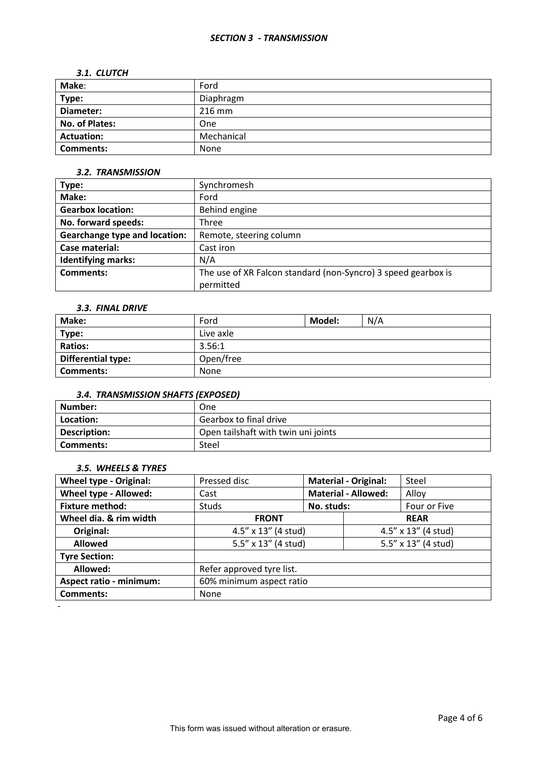#### *SECTION 3 - TRANSMISSION*

#### *3.1. CLUTCH*

| Make:             | Ford       |
|-------------------|------------|
| Type:             | Diaphragm  |
| Diameter:         | $216$ mm   |
| No. of Plates:    | One        |
| <b>Actuation:</b> | Mechanical |
| <b>Comments:</b>  | None       |

### *3.2. TRANSMISSION*

| Type:                                | Synchromesh                                                   |
|--------------------------------------|---------------------------------------------------------------|
| Make:                                | Ford                                                          |
| <b>Gearbox location:</b>             | Behind engine                                                 |
| No. forward speeds:                  | Three                                                         |
| <b>Gearchange type and location:</b> | Remote, steering column                                       |
| Case material:                       | Cast iron                                                     |
| <b>Identifying marks:</b>            | N/A                                                           |
| Comments:                            | The use of XR Falcon standard (non-Syncro) 3 speed gearbox is |
|                                      | permitted                                                     |

# *3.3. FINAL DRIVE*

| Make:                     | Ford      | Model: | N/A |  |
|---------------------------|-----------|--------|-----|--|
| Type:                     | Live axle |        |     |  |
| <b>Ratios:</b>            | 3.56:1    |        |     |  |
| <b>Differential type:</b> | Open/free |        |     |  |
| <b>Comments:</b>          | None      |        |     |  |

## *3.4. TRANSMISSION SHAFTS (EXPOSED)*

| Number:      | One                                 |
|--------------|-------------------------------------|
| Location:    | Gearbox to final drive              |
| Description: | Open tailshaft with twin uni joints |
| Comments:    | Steel                               |

### *3.5. WHEELS & TYRES*

| <b>Wheel type - Original:</b>  | Pressed disc              | <b>Material - Original:</b> |  | Steel               |  |
|--------------------------------|---------------------------|-----------------------------|--|---------------------|--|
| Wheel type - Allowed:          | Cast                      | <b>Material - Allowed:</b>  |  | Alloy               |  |
| <b>Fixture method:</b>         | <b>Studs</b>              | No. studs:                  |  | Four or Five        |  |
| Wheel dia. & rim width         | <b>FRONT</b>              |                             |  | <b>REAR</b>         |  |
| Original:                      | 4.5" x 13" (4 stud)       |                             |  | 4.5" x 13" (4 stud) |  |
| <b>Allowed</b>                 | 5.5" x 13" (4 stud)       |                             |  | 5.5" x 13" (4 stud) |  |
| <b>Tyre Section:</b>           |                           |                             |  |                     |  |
| Allowed:                       | Refer approved tyre list. |                             |  |                     |  |
| <b>Aspect ratio - minimum:</b> | 60% minimum aspect ratio  |                             |  |                     |  |
| <b>Comments:</b>               | None                      |                             |  |                     |  |
|                                |                           |                             |  |                     |  |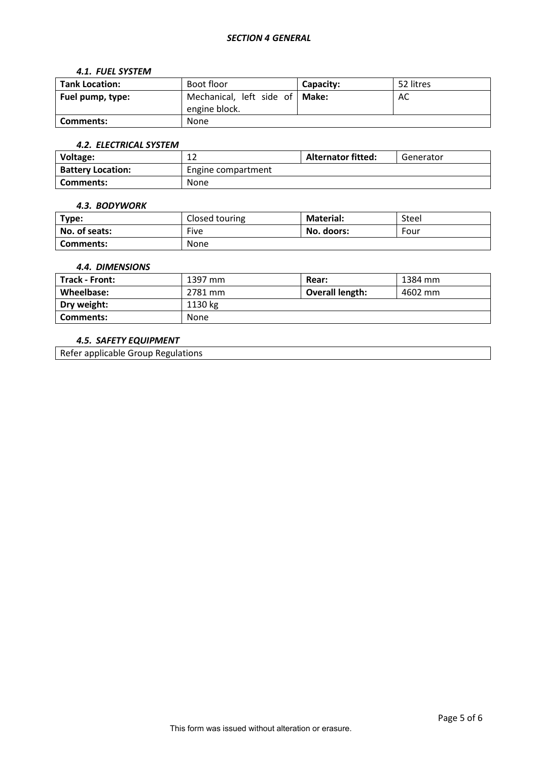## *SECTION 4 GENERAL*

#### *4.1. FUEL SYSTEM*

| <b>Tank Location:</b> | Boot floor                                        | Capacity: | 52 litres |
|-----------------------|---------------------------------------------------|-----------|-----------|
| Fuel pump, type:      | Mechanical, left side of   Make:<br>engine block. |           | AC        |
| Comments:             | None                                              |           |           |

## *4.2. ELECTRICAL SYSTEM*

| Voltage:                 | ∸∸                 | <b>Alternator fitted:</b> | Generator |
|--------------------------|--------------------|---------------------------|-----------|
| <b>Battery Location:</b> | Engine compartment |                           |           |
| Comments:                | None               |                           |           |

#### *4.3. BODYWORK*

| Type:            | Closed touring | <b>Material:</b> | Steel |
|------------------|----------------|------------------|-------|
| No. of seats:    | Five           | No. doors:       | Four  |
| <b>Comments:</b> | None           |                  |       |

### *4.4. DIMENSIONS*

| Track - Front: | 1397 mm | Rear:                  | 1384 mm |
|----------------|---------|------------------------|---------|
| Wheelbase:     | 2781 mm | <b>Overall length:</b> | 4602 mm |
| Dry weight:    | 1130 kg |                        |         |
| Comments:      | None    |                        |         |

### *4.5. SAFETY EQUIPMENT*

Refer applicable Group Regulations